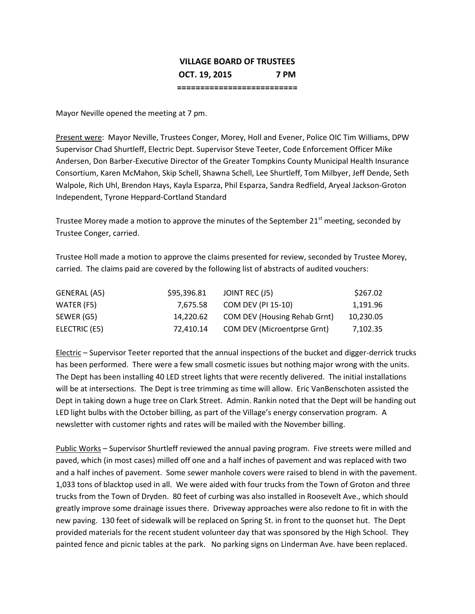## **VILLAGE BOARD OF TRUSTEES OCT. 19, 2015 7 PM ==========================**

Mayor Neville opened the meeting at 7 pm.

Present were: Mayor Neville, Trustees Conger, Morey, Holl and Evener, Police OIC Tim Williams, DPW Supervisor Chad Shurtleff, Electric Dept. Supervisor Steve Teeter, Code Enforcement Officer Mike Andersen, Don Barber-Executive Director of the Greater Tompkins County Municipal Health Insurance Consortium, Karen McMahon, Skip Schell, Shawna Schell, Lee Shurtleff, Tom Milbyer, Jeff Dende, Seth Walpole, Rich Uhl, Brendon Hays, Kayla Esparza, Phil Esparza, Sandra Redfield, Aryeal Jackson-Groton Independent, Tyrone Heppard-Cortland Standard

Trustee Morey made a motion to approve the minutes of the September 21<sup>st</sup> meeting, seconded by Trustee Conger, carried.

Trustee Holl made a motion to approve the claims presented for review, seconded by Trustee Morey, carried. The claims paid are covered by the following list of abstracts of audited vouchers:

| GENERAL (A5)  | \$95,396.81 | JOINT REC (J5)                      | \$267.02  |
|---------------|-------------|-------------------------------------|-----------|
| WATER (F5)    | 7.675.58    | COM DEV (PI 15-10)                  | 1.191.96  |
| SEWER (G5)    | 14.220.62   | <b>COM DEV (Housing Rehab Grnt)</b> | 10,230.05 |
| ELECTRIC (E5) | 72.410.14   | <b>COM DEV (Microentprse Grnt)</b>  | 7,102.35  |

Electric – Supervisor Teeter reported that the annual inspections of the bucket and digger-derrick trucks has been performed. There were a few small cosmetic issues but nothing major wrong with the units. The Dept has been installing 40 LED street lights that were recently delivered. The initial installations will be at intersections. The Dept is tree trimming as time will allow. Eric VanBenschoten assisted the Dept in taking down a huge tree on Clark Street. Admin. Rankin noted that the Dept will be handing out LED light bulbs with the October billing, as part of the Village's energy conservation program. A newsletter with customer rights and rates will be mailed with the November billing.

Public Works – Supervisor Shurtleff reviewed the annual paving program. Five streets were milled and paved, which (in most cases) milled off one and a half inches of pavement and was replaced with two and a half inches of pavement. Some sewer manhole covers were raised to blend in with the pavement. 1,033 tons of blacktop used in all. We were aided with four trucks from the Town of Groton and three trucks from the Town of Dryden. 80 feet of curbing was also installed in Roosevelt Ave., which should greatly improve some drainage issues there. Driveway approaches were also redone to fit in with the new paving. 130 feet of sidewalk will be replaced on Spring St. in front to the quonset hut. The Dept provided materials for the recent student volunteer day that was sponsored by the High School. They painted fence and picnic tables at the park. No parking signs on Linderman Ave. have been replaced.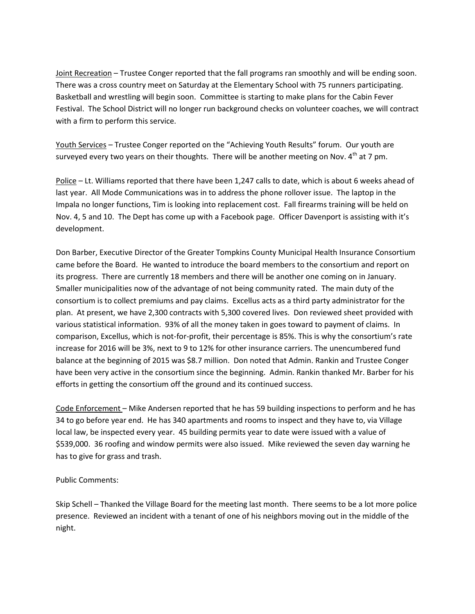Joint Recreation – Trustee Conger reported that the fall programs ran smoothly and will be ending soon. There was a cross country meet on Saturday at the Elementary School with 75 runners participating. Basketball and wrestling will begin soon. Committee is starting to make plans for the Cabin Fever Festival. The School District will no longer run background checks on volunteer coaches, we will contract with a firm to perform this service.

Youth Services – Trustee Conger reported on the "Achieving Youth Results" forum. Our youth are surveyed every two years on their thoughts. There will be another meeting on Nov.  $4<sup>th</sup>$  at 7 pm.

Police – Lt. Williams reported that there have been 1,247 calls to date, which is about 6 weeks ahead of last year. All Mode Communications was in to address the phone rollover issue. The laptop in the Impala no longer functions, Tim is looking into replacement cost. Fall firearms training will be held on Nov. 4, 5 and 10. The Dept has come up with a Facebook page. Officer Davenport is assisting with it's development.

Don Barber, Executive Director of the Greater Tompkins County Municipal Health Insurance Consortium came before the Board. He wanted to introduce the board members to the consortium and report on its progress. There are currently 18 members and there will be another one coming on in January. Smaller municipalities now of the advantage of not being community rated. The main duty of the consortium is to collect premiums and pay claims. Excellus acts as a third party administrator for the plan. At present, we have 2,300 contracts with 5,300 covered lives. Don reviewed sheet provided with various statistical information. 93% of all the money taken in goes toward to payment of claims. In comparison, Excellus, which is not-for-profit, their percentage is 85%. This is why the consortium's rate increase for 2016 will be 3%, next to 9 to 12% for other insurance carriers. The unencumbered fund balance at the beginning of 2015 was \$8.7 million. Don noted that Admin. Rankin and Trustee Conger have been very active in the consortium since the beginning. Admin. Rankin thanked Mr. Barber for his efforts in getting the consortium off the ground and its continued success.

Code Enforcement – Mike Andersen reported that he has 59 building inspections to perform and he has 34 to go before year end. He has 340 apartments and rooms to inspect and they have to, via Village local law, be inspected every year. 45 building permits year to date were issued with a value of \$539,000. 36 roofing and window permits were also issued. Mike reviewed the seven day warning he has to give for grass and trash.

## Public Comments:

Skip Schell – Thanked the Village Board for the meeting last month. There seems to be a lot more police presence. Reviewed an incident with a tenant of one of his neighbors moving out in the middle of the night.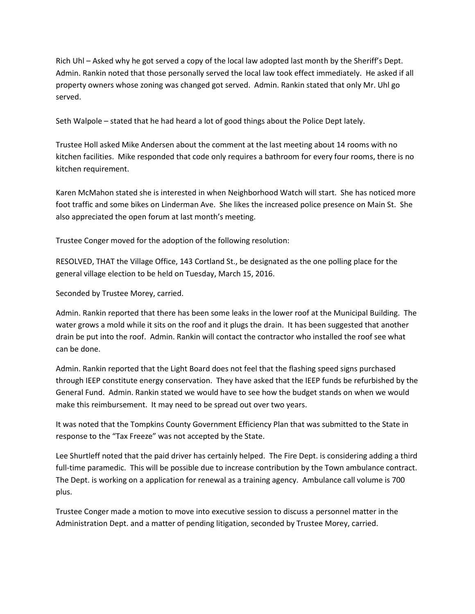Rich Uhl – Asked why he got served a copy of the local law adopted last month by the Sheriff's Dept. Admin. Rankin noted that those personally served the local law took effect immediately. He asked if all property owners whose zoning was changed got served. Admin. Rankin stated that only Mr. Uhl go served.

Seth Walpole – stated that he had heard a lot of good things about the Police Dept lately.

Trustee Holl asked Mike Andersen about the comment at the last meeting about 14 rooms with no kitchen facilities. Mike responded that code only requires a bathroom for every four rooms, there is no kitchen requirement.

Karen McMahon stated she is interested in when Neighborhood Watch will start. She has noticed more foot traffic and some bikes on Linderman Ave. She likes the increased police presence on Main St. She also appreciated the open forum at last month's meeting.

Trustee Conger moved for the adoption of the following resolution:

RESOLVED, THAT the Village Office, 143 Cortland St., be designated as the one polling place for the general village election to be held on Tuesday, March 15, 2016.

Seconded by Trustee Morey, carried.

Admin. Rankin reported that there has been some leaks in the lower roof at the Municipal Building. The water grows a mold while it sits on the roof and it plugs the drain. It has been suggested that another drain be put into the roof. Admin. Rankin will contact the contractor who installed the roof see what can be done.

Admin. Rankin reported that the Light Board does not feel that the flashing speed signs purchased through IEEP constitute energy conservation. They have asked that the IEEP funds be refurbished by the General Fund. Admin. Rankin stated we would have to see how the budget stands on when we would make this reimbursement. It may need to be spread out over two years.

It was noted that the Tompkins County Government Efficiency Plan that was submitted to the State in response to the "Tax Freeze" was not accepted by the State.

Lee Shurtleff noted that the paid driver has certainly helped. The Fire Dept. is considering adding a third full-time paramedic. This will be possible due to increase contribution by the Town ambulance contract. The Dept. is working on a application for renewal as a training agency. Ambulance call volume is 700 plus.

Trustee Conger made a motion to move into executive session to discuss a personnel matter in the Administration Dept. and a matter of pending litigation, seconded by Trustee Morey, carried.